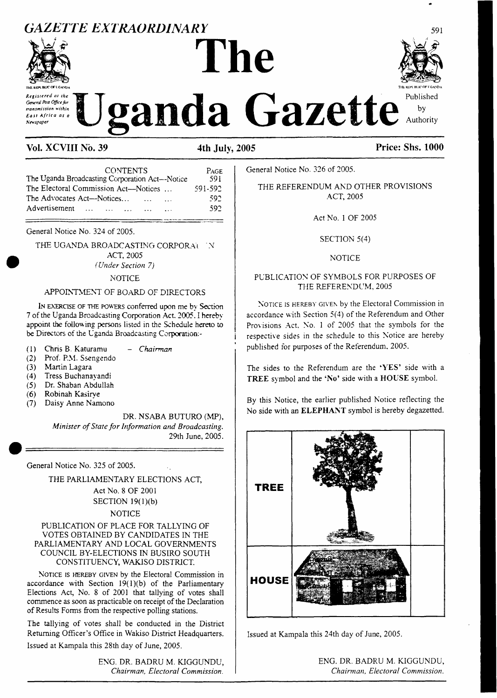## *GAZETTE EXTRAORDINARY*

# **The Janda Gazette** Authority



*Registered at the General Post Officefor transmission within East Africa as a Newspaper*

| <b>CONTENTS</b>                                   | PAGE    |
|---------------------------------------------------|---------|
| The Uganda Broadcasting Corporation Act--Notice   | 591     |
| The Electoral Commission Act—Notices              | 591-592 |
| The Advocates Act—Notices<br>$\cdots$<br>$\cdots$ | 592     |
| Advertisement<br>$\cdots$<br>$\cdots$<br>$\cdots$ | 592     |

General Notice No. 324 of 2005.

THE UGANDA BROADCASTING CORPORAL N ACT, 2005 *(Under Section 7)*

#### **NOTICE**

#### APPOINTMENT OF BOARD OF DIRECTORS

I<sup>n</sup> exercise of the powers conferred upon me by Section 7 of the Uganda Broadcasting Corporation Act. 2005. I hereby appoint the following persons listed in the Schedule hereto to be Directors of the Uganda Broadcasting Corporation:-

- (1) Chris B. Katuramu *- Chairman*
- Prof. P.M. Ssengendo
- (3) Martin Lagara
- (4) Tress Buchanayandi
- (5) Dr. Shaban Abdullah
- 
- **(6)** Robinah Kasirye Daisy Anne Namono

DR. NSABA BUTURO (MP), *Minister ofState forInformation and Broadcasting.* 29th June, 2005.

General Notice No. 325 of 2005.

THE PARLIAMENTARY ELECTIONS ACT, Act No. 8 OF 2001 SECTION 19(1)(b)

#### NOTICE

#### PUBLICATION OF PLACE FOR TALLYING OF VOTES OBTAINED BY CANDIDATES IN THE PARLIAMENTARY AND LOCAL GOVERNMENTS COUNCIL BY-ELECTIONS IN BUSIRO SOUTH CONSTITUENCY, WAKISO DISTRICT.

Notice is hereby given by the Electoral Commission in accordance with Section  $19(1)(b)$  of the Parliamentary Elections Act, No. 8 of 2001 that tallying of votes shall commence as soon as practicable on receipt of the Declaration of Results Forms from the respective polling stations.

The tallying of votes shall be conducted in the District Returning Officer's Office in Wakiso District Headquarters. Issued at Kampala this 28th day of June, 2005.

> ENG. DR. BADRU M. KIGGUNDU, *Chairman, Electoral Commission.*

General Notice No. 326 of 2005.

THE REFERENDUM AND OTHER PROVISIONS ACT, 2005

Act No. <sup>1</sup> OF 2005

SECTION 5(4)

#### NOTICE

#### PUBLICATION OF SYMBOLS FOR PURPOSES OF THE REFERENDUM, 2005

NOTICE IS HEREBY GIVEN by the Electoral Commission in accordance with Section 5(4) of the Referendum and Other Provisions Act, No. <sup>1</sup> of 2005 that the symbols for the respective sides in the schedule to this Notice are hereby published for purposes of the Referendum. 2005.

The sides to the Referendum are the **'YES'** side with a **TREE** symbol and the **'No'** side with a **HOUSE** symbol.

By this Notice, the earlier published Notice reflecting the No side with an **ELEPHANT** symbol is hereby degazetted.



Issued at Kampala this 24th day of June, 2005.



ENG. DR. BADRU M. KIGGUNDU, *Chairman, Electoral Commission.*